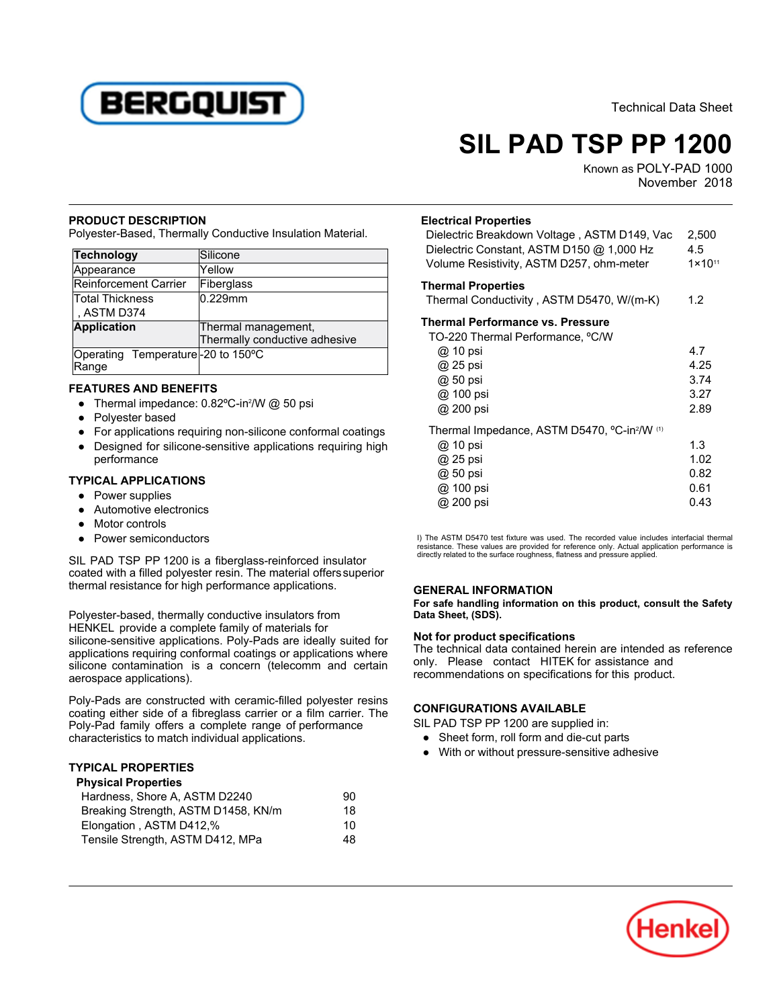

Technical Data Sheet

# **SIL PAD TSP PP 1200**

Known as POLY-PAD 1000 November 2018

#### **PRODUCT DESCRIPTION**

Polyester-Based, Thermally Conductive Insulation Material.

| Technology                                 | Silicone                      |
|--------------------------------------------|-------------------------------|
| Appearance                                 | Yellow                        |
| Reinforcement Carrier                      | Fiberglass                    |
| Total Thickness                            | $0.229$ mm                    |
| , ASTM D374                                |                               |
| <b>Application</b>                         | Thermal management,           |
|                                            | Thermally conductive adhesive |
| Operating Temperature-20 to 150°C<br>Range |                               |

## **FEATURES AND BENEFITS**

- 11 strime that = ======= 11 strime<br>● Thermal impedance: 0.82ºC-in2/W @ 50 psi
- Polyester based
- For applications requiring non-silicone conformal coatings ● Designed for silicone-sensitive applications requiring high
- performance

### **TYPICAL APPLICATIONS**

- Power supplies
- Automotive electronics
- **Motor controls**
- Power semiconductors

SIL PAD TSP PP 1200 is a fiberglass-reinforced insulator coated with a filled polyester resin. The material offerssuperior thermal resistance for high performance applications.

Polyester-based, thermally conductive insulators from HENKEL provide a complete family of materials for silicone-sensitive applications. Poly-Pads are ideally suited for applications requiring conformal coatings or applications where silicone contamination is a concern (telecomm and certain aerospace applications).

Poly-Pads are constructed with ceramic-filled polyester resins coating either side of a fibreglass carrier or a film carrier. The Poly-Pad family offers a complete range of performance characteristics to match individual applications.

## **TYPICAL PROPERTIES Physical Properties**

| Physical Properties |  |  |
|---------------------|--|--|
| 90                  |  |  |
| 18                  |  |  |
| 10                  |  |  |
| 48                  |  |  |
|                     |  |  |

#### **Electrical Properties**

| Dielectric Breakdown Voltage, ASTM D149, Vac<br>Dielectric Constant, ASTM D150 @ 1,000 Hz<br>Volume Resistivity, ASTM D257, ohm-meter | 2,500<br>4.5<br>$1 \times 10^{11}$ |
|---------------------------------------------------------------------------------------------------------------------------------------|------------------------------------|
| <b>Thermal Properties</b>                                                                                                             |                                    |
| Thermal Conductivity, ASTM D5470, W/(m-K)                                                                                             | 1.2                                |
| Thermal Performance vs. Pressure                                                                                                      |                                    |
| TO-220 Thermal Performance, °C/W                                                                                                      |                                    |
| @ 10 psi                                                                                                                              | 4.7                                |
| @ 25 psi                                                                                                                              | 4.25                               |
| @ 50 psi                                                                                                                              | 3.74                               |
| @ 100 psi                                                                                                                             | 3.27                               |
| @ 200 psi                                                                                                                             | 2.89                               |
| Thermal Impedance, ASTM D5470, °C-in?/W (1)                                                                                           |                                    |
| @ 10 psi                                                                                                                              | 1.3                                |
| @ 25 psi                                                                                                                              | 1.02                               |
| @ 50 psi                                                                                                                              | 0.82                               |
| @ 100 psi                                                                                                                             | 0.61                               |
| @ 200 psi                                                                                                                             | 0.43                               |
|                                                                                                                                       |                                    |

I) The ASTM D5470 test fixture was used. The recorded value includes interfacial thermal resistance. These values are provided for reference only. Actual application performance is directly related to the surface roughness, flatness and pressure applied.

## **GENERAL INFORMATION**

**For safe handling information on this product, consult the Safety Data Sheet, (SDS).**

## **Not for product specifications**

The technical data contained herein are intended as reference only. Please contact HITEK for assistance and recommendations on specifications for this product.

## **CONFIGURATIONS AVAILABLE**

SIL PAD TSP PP 1200 are supplied in:

- Prince Form, roll form and die-cut parts
- With or without pressure-sensitive adhesive